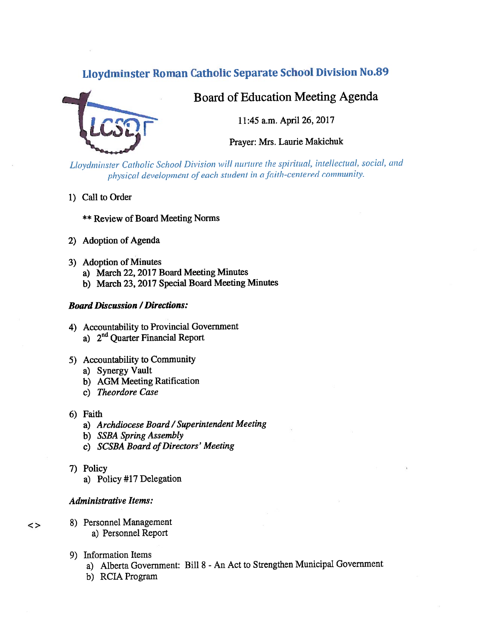# Eloydminster Roman Catholic Separate School Division No.89



# Board of Education Meeting Agenda

11:45 a.m. April 26, 2017

Prayer: Mrs. Laurie Makichuk

Lloydminster Catholic School Division will nurture the spiritual, intellectual, social, and physical development of each student in a faith-centered community.

- 1) Call to Order
	- \*\* Review of Board Meeting Norms
- 2) Adoption of Agenda
- 3) Adoption of Minutes
	- a) March 22, <sup>2017</sup> Board Meeting Minutes
	- b) March 23, <sup>2017</sup> Special Board Meeting Minutes

# Board Discussion /Directions:

- 4) Accountability to Provincial Government a) 2nd Quarter Financial Report
- 5) Accountability to Community
	- a) Synergy Vault
	- b) AGM Meeting Ratification
	- c) Theordore Case
- 6) Faith
	- a) Archdiocese Board / Superintendent Meeting
	- b) SSBA Spring Assembly
	- c) SCSBA Board of Directors' Meeting
- 7) Policy

 $\leq$ 

a) Policy #17 Delegation

# Administrative Items:

- 8) Personnel Management a) Personnel Report
- 9) Information Items
	- a) Alberta Government: Bill <sup>8</sup> -An Act to Strengthen Municipal Government
	- b) RCIA Program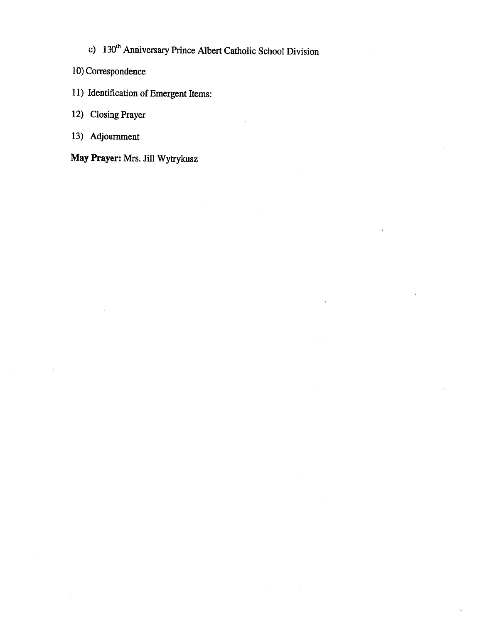c) 130<sup>th</sup> Anniversary Prince Albert Catholic School Division

- 10) Correspondence
- 11) Identification of Emergent Items:

12) Closing Prayer

13) Adjournment

May Prayer: Mrs. Jill Wytrykusz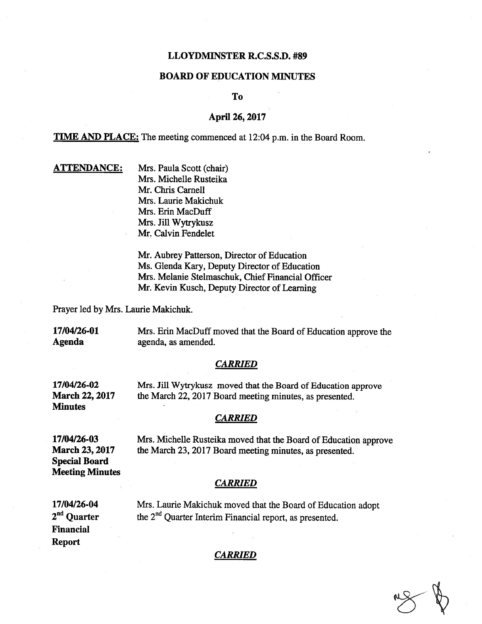### LLOYDMIN\$TER R.C.S.S.D. #89

# BOARD OF EDUCATION MINUTES

To

# April 26, 2017

TIME AND PLACE: The meeting commenced at 12:04 p.m. in the Board Room.

| <u>ATTENDANCE:</u> | Mrs. Paula Scott (chair) |
|--------------------|--------------------------|
|                    | Mrs. Michelle Rusteika   |
|                    | Mr. Chris Carnell        |
|                    | Mrs. Laurie Makichuk     |
|                    | Mrs. Erin MacDuff        |
|                    | Mrs. Jill Wytrykusz      |
|                    | Mr. Calvin Fendelet      |

Mr. Aubrey Patterson, Director of Education Ms. Glenda Kary, Deputy Director of Education Mrs. Melanie Stelmaschuk, Chief Financial Officer Mr. Kevin Kusch, Deputy Director of Learning

Prayer led by Mrs. Laurie Makichuk.

17/04/26-01 Mrs. Erin MacDuff moved that the Board of Education approve the Agenda agenda, as amended.

#### **CARRIED**

17/04/26-02 Mrs. Jill Wytrykusz moved that the Board of Education approve March 22, 2017 the March 22, 2017 Board meeting minutes, as presented. **Minutes** 

#### CARRIED

Special Board Meeting Minutes

17/04/26-03 Mrs. Michelle Rusteika moved that the Board of Education approve March 23, 2017 the March 23, 2017 Board meeting minutes, as presented.

#### **CARRIED**

17/04/26-04 Mrs. Laurie Makichuk moved that the Board of Education adopt  $2<sup>nd</sup>$  Ouarter the  $2<sup>nd</sup>$  Ouarter Interim Financial report, as presented. the 2<sup>nd</sup> Quarter Interim Financial report, as presented. Financial Report

#### **CARRIED**